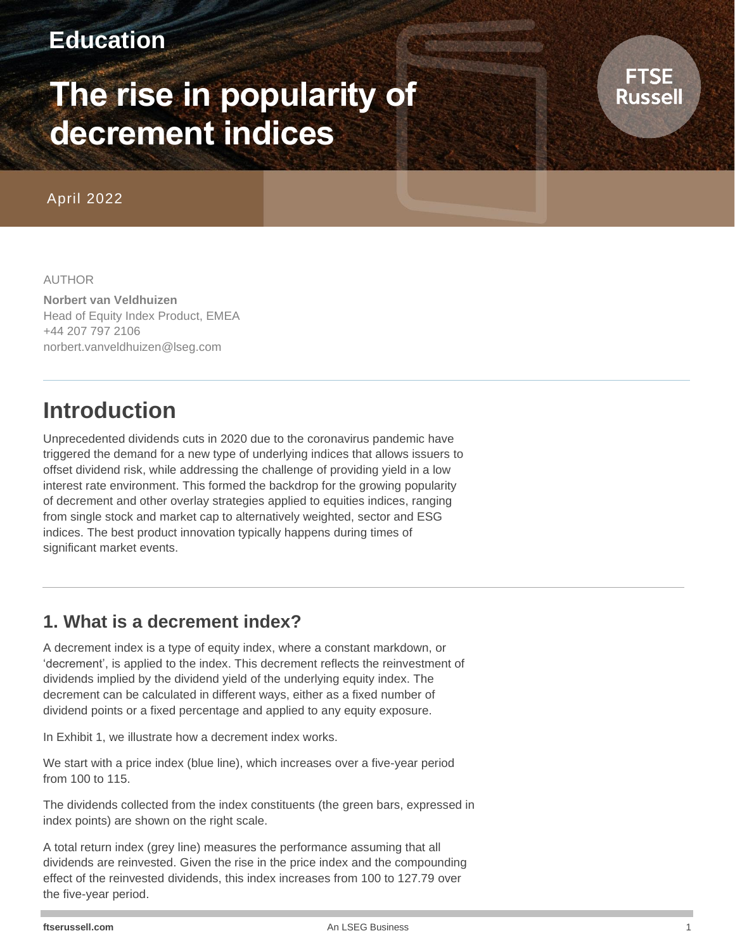# **Education**

# **The rise in popularity of decrement indices**

#### April 2022

#### AUTHOR

**Norbert van Veldhuizen**  Head of Equity Index Product, EMEA +44 207 797 2106 norbert.vanveldhuizen@lseg.com

# **Introduction**

Unprecedented dividends cuts in 2020 due to the coronavirus pandemic have triggered the demand for a new type of underlying indices that allows issuers to offset dividend risk, while addressing the challenge of providing yield in a low interest rate environment. This formed the backdrop for the growing popularity of decrement and other overlay strategies applied to equities indices, ranging from single stock and market cap to alternatively weighted, sector and ESG indices. The best product innovation typically happens during times of significant market events.

### **1. What is a decrement index?**

A decrement index is a type of equity index, where a constant markdown, or 'decrement', is applied to the index. This decrement reflects the reinvestment of dividends implied by the dividend yield of the underlying equity index. The decrement can be calculated in different ways, either as a fixed number of dividend points or a fixed percentage and applied to any equity exposure.

In Exhibit 1, we illustrate how a decrement index works.

We start with a price index (blue line), which increases over a five-year period from 100 to 115.

The dividends collected from the index constituents (the green bars, expressed in index points) are shown on the right scale.

A total return index (grey line) measures the performance assuming that all dividends are reinvested. Given the rise in the price index and the compounding effect of the reinvested dividends, this index increases from 100 to 127.79 over the five-year period.

FTSE **Russell**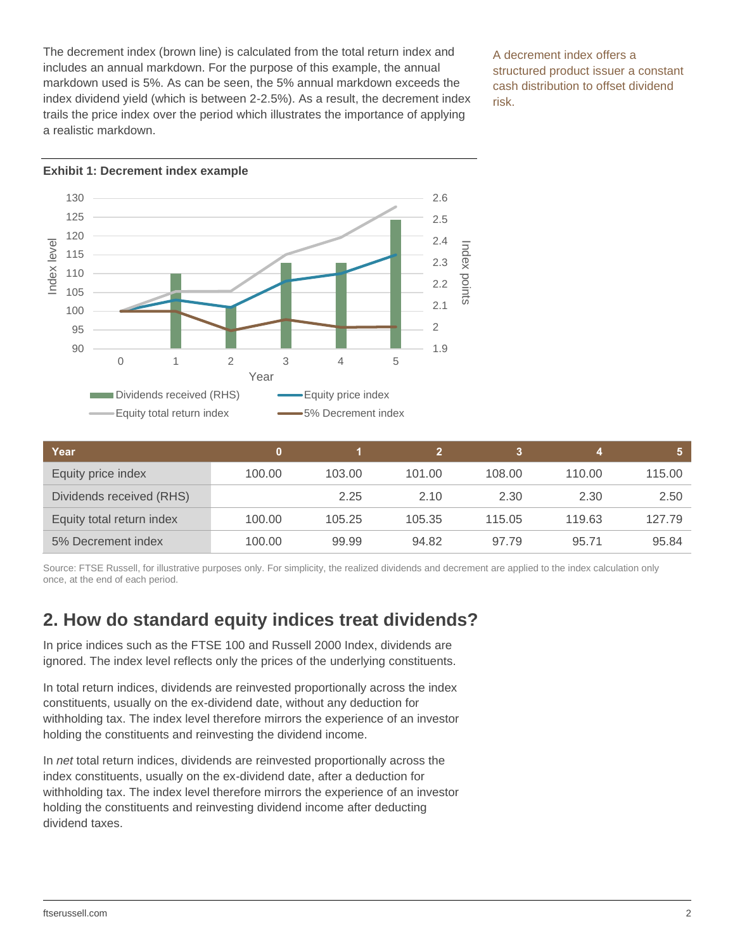The decrement index (brown line) is calculated from the total return index and includes an annual markdown. For the purpose of this example, the annual markdown used is 5%. As can be seen, the 5% annual markdown exceeds the index dividend yield (which is between 2-2.5%). As a result, the decrement index trails the price index over the period which illustrates the importance of applying a realistic markdown.

A decrement index offers a structured product issuer a constant cash distribution to offset dividend risk.



|  | <b>Exhibit 1: Decrement index example</b> |  |  |
|--|-------------------------------------------|--|--|
|--|-------------------------------------------|--|--|

| Year.                     |        |        |        |        |        |        |
|---------------------------|--------|--------|--------|--------|--------|--------|
| Equity price index        | 100.00 | 103.00 | 101.00 | 108.00 | 110.00 | 115.00 |
| Dividends received (RHS)  |        | 2.25   | 2.10   | 2.30   | 2.30   | 2.50   |
| Equity total return index | 100.00 | 105.25 | 105.35 | 115.05 | 119.63 | 127.79 |
| 5% Decrement index        | 100.00 | 99.99  | 94.82  | 97.79  | 95.71  | 95.84  |

Source: FTSE Russell, for illustrative purposes only. For simplicity, the realized dividends and decrement are applied to the index calculation only once, at the end of each period.

### **2. How do standard equity indices treat dividends?**

In price indices such as the FTSE 100 and Russell 2000 Index, dividends are ignored. The index level reflects only the prices of the underlying constituents.

In total return indices, dividends are reinvested proportionally across the index constituents, usually on the ex-dividend date, without any deduction for withholding tax. The index level therefore mirrors the experience of an investor holding the constituents and reinvesting the dividend income.

In *net* total return indices, dividends are reinvested proportionally across the index constituents, usually on the ex-dividend date, after a deduction for withholding tax. The index level therefore mirrors the experience of an investor holding the constituents and reinvesting dividend income after deducting dividend taxes.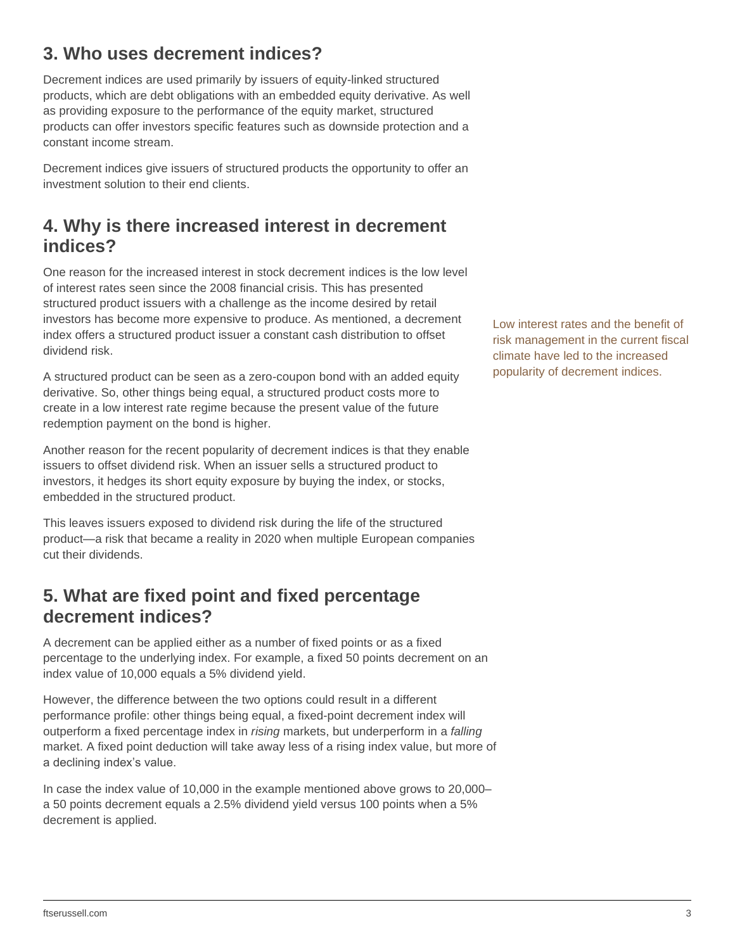### **3. Who uses decrement indices?**

Decrement indices are used primarily by issuers of equity-linked structured products, which are debt obligations with an embedded equity derivative. As well as providing exposure to the performance of the equity market, structured products can offer investors specific features such as downside protection and a constant income stream.

Decrement indices give issuers of structured products the opportunity to offer an investment solution to their end clients.

### **4. Why is there increased interest in decrement indices?**

One reason for the increased interest in stock decrement indices is the low level of interest rates seen since the 2008 financial crisis. This has presented structured product issuers with a challenge as the income desired by retail investors has become more expensive to produce. As mentioned, a decrement index offers a structured product issuer a constant cash distribution to offset dividend risk.

A structured product can be seen as a zero-coupon bond with an added equity derivative. So, other things being equal, a structured product costs more to create in a low interest rate regime because the present value of the future redemption payment on the bond is higher.

Another reason for the recent popularity of decrement indices is that they enable issuers to offset dividend risk. When an issuer sells a structured product to investors, it hedges its short equity exposure by buying the index, or stocks, embedded in the structured product.

This leaves issuers exposed to dividend risk during the life of the structured product—a risk that became a reality in 2020 when multiple European companies cut their dividends.

### **5. What are fixed point and fixed percentage decrement indices?**

A decrement can be applied either as a number of fixed points or as a fixed percentage to the underlying index. For example, a fixed 50 points decrement on an index value of 10,000 equals a 5% dividend yield.

However, the difference between the two options could result in a different performance profile: other things being equal, a fixed-point decrement index will outperform a fixed percentage index in *rising* markets, but underperform in a *falling* market. A fixed point deduction will take away less of a rising index value, but more of a declining index's value.

In case the index value of 10,000 in the example mentioned above grows to 20,000– a 50 points decrement equals a 2.5% dividend yield versus 100 points when a 5% decrement is applied.

Low interest rates and the benefit of risk management in the current fiscal climate have led to the increased popularity of decrement indices.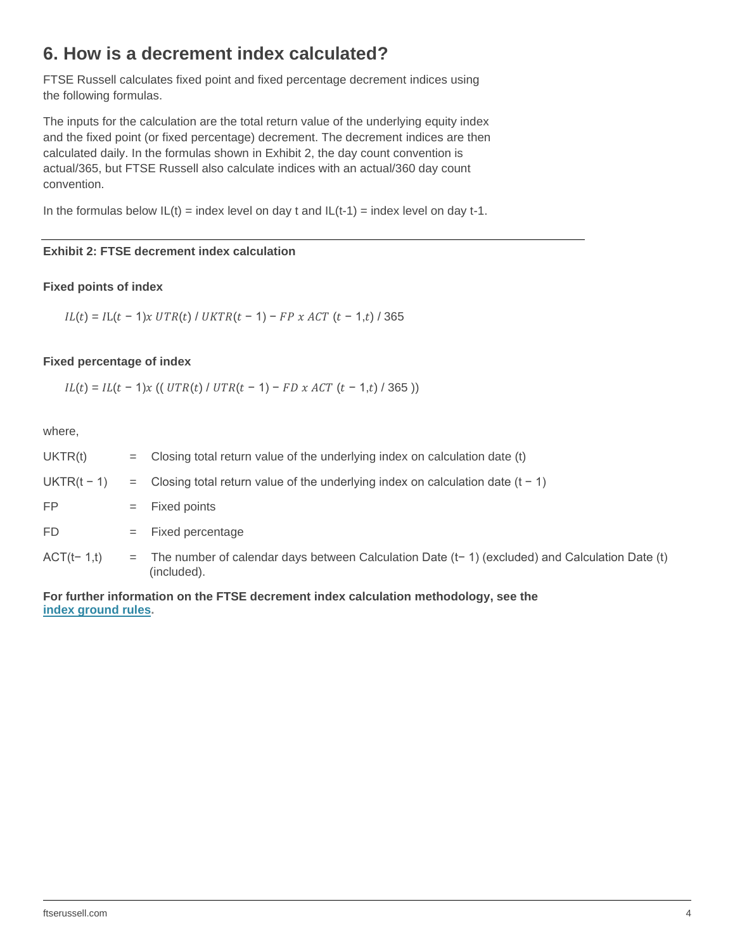### **6. How is a decrement index calculated?**

FTSE Russell calculates fixed point and fixed percentage decrement indices using the following formulas.

The inputs for the calculation are the total return value of the underlying equity index and the fixed point (or fixed percentage) decrement. The decrement indices are then calculated daily. In the formulas shown in Exhibit 2, the day count convention is actual/365, but FTSE Russell also calculate indices with an actual/360 day count convention.

In the formulas below  $IL(t) = index$  level on day t and  $IL(t-1) = index$  level on day t-1.

#### **Exhibit 2: FTSE decrement index calculation**

#### **Fixed points of index**

 $IL(t) = IL(t - 1)x \ UTR(t) / UKTR(t - 1) - FP \ x \ ACT \ (t - 1,t) / 365$ 

#### **Fixed percentage of index**

 $IL(t) = IL(t - 1)x ((UTR(t) / UTR(t - 1) - FD x ACT (t - 1, t) / 365))$ 

where,

| UKTR(t)      | $=$ Closing total return value of the underlying index on calculation date (t)                                    |
|--------------|-------------------------------------------------------------------------------------------------------------------|
| UKTR(t – 1)  | $=$ Closing total return value of the underlying index on calculation date $(t - 1)$                              |
| <b>FP</b>    | $=$ Fixed points                                                                                                  |
| FD.          | $=$ Fixed percentage                                                                                              |
| $ACT(t-1,t)$ | $=$ The number of calendar days between Calculation Date (t-1) (excluded) and Calculation Date (t)<br>(included). |

**For further information on the FTSE decrement index calculation methodology, see the [index ground rules.](https://research.ftserussell.com/products/downloads/FTSE_Decrement_Index_Series_Ground_Rules.pdf)**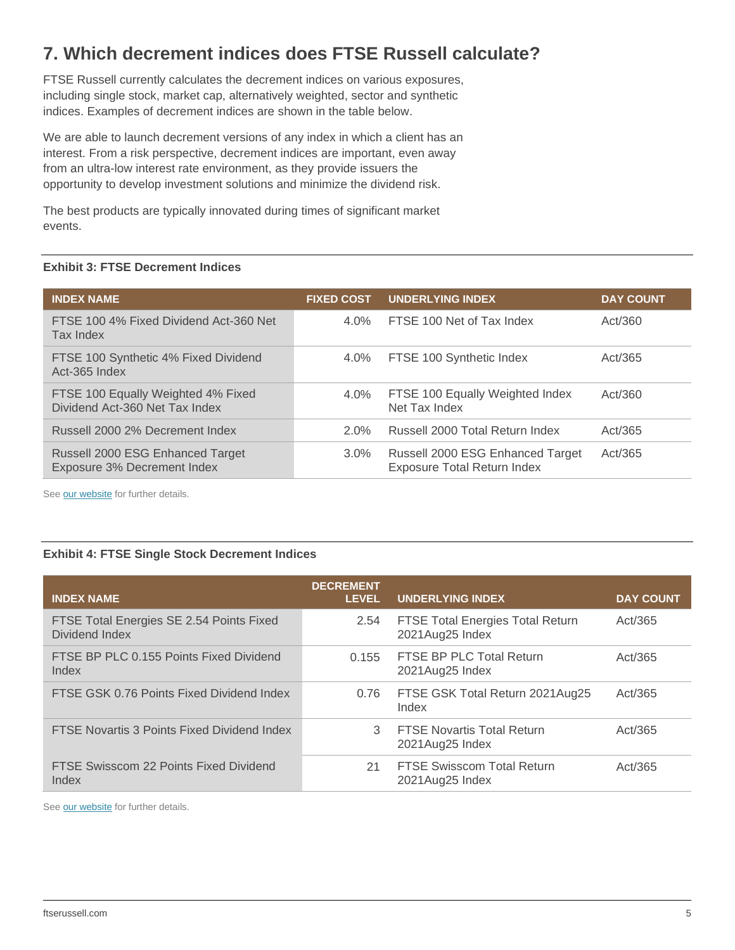### **7. Which decrement indices does FTSE Russell calculate?**

FTSE Russell currently calculates the decrement indices on various exposures, including single stock, market cap, alternatively weighted, sector and synthetic indices. Examples of decrement indices are shown in the table below.

We are able to launch decrement versions of any index in which a client has an interest. From a risk perspective, decrement indices are important, even away from an ultra-low interest rate environment, as they provide issuers the opportunity to develop investment solutions and minimize the dividend risk.

The best products are typically innovated during times of significant market events.

#### **Exhibit 3: FTSE Decrement Indices**

| <b>INDEX NAME</b>                                                    | <b>FIXED COST</b> | <b>UNDERLYING INDEX</b>                                                | <b>DAY COUNT</b> |
|----------------------------------------------------------------------|-------------------|------------------------------------------------------------------------|------------------|
| FTSE 100 4% Fixed Dividend Act-360 Net<br>Tax Index                  | $4.0\%$           | FTSE 100 Net of Tax Index                                              | Act/360          |
| FTSE 100 Synthetic 4% Fixed Dividend<br>Act-365 Index                | 4.0%              | FTSE 100 Synthetic Index                                               | Act/365          |
| FTSE 100 Equally Weighted 4% Fixed<br>Dividend Act-360 Net Tax Index | 4.0%              | FTSE 100 Equally Weighted Index<br>Net Tax Index                       | Act/360          |
| Russell 2000 2% Decrement Index                                      | $2.0\%$           | Russell 2000 Total Return Index                                        | Act/365          |
| Russell 2000 ESG Enhanced Target<br>Exposure 3% Decrement Index      | $3.0\%$           | Russell 2000 ESG Enhanced Target<br><b>Exposure Total Return Index</b> | Act/365          |

Se[e our website](https://www.ftserussell.com/products/indices/decrement) for further details.

#### **Exhibit 4: FTSE Single Stock Decrement Indices**

| <b>INDEX NAME</b>                                          | <b>DECREMENT</b><br><b>LEVEL</b> | <b>UNDERLYING INDEX</b>                                    | <b>DAY COUNT</b> |
|------------------------------------------------------------|----------------------------------|------------------------------------------------------------|------------------|
| FTSE Total Energies SE 2.54 Points Fixed<br>Dividend Index | 2.54                             | <b>FTSE Total Energies Total Return</b><br>2021Aug25 Index | Act/365          |
| FTSE BP PLC 0.155 Points Fixed Dividend<br>Index           | 0.155                            | FTSE BP PLC Total Return<br>2021Aug25 Index                | Act/365          |
| FTSE GSK 0.76 Points Fixed Dividend Index                  | 0.76                             | FTSE GSK Total Return 2021Aug25<br>Index                   | Act/365          |
| <b>FTSE Novartis 3 Points Fixed Dividend Index</b>         | 3                                | <b>FTSE Novartis Total Return</b><br>2021Aug25 Index       | Act/365          |
| FTSE Swisscom 22 Points Fixed Dividend<br>Index            | 21                               | <b>FTSE Swisscom Total Return</b><br>2021Aug25 Index       | Act/365          |

Se[e our website](https://www.ftserussell.com/products/indices/single-stock-decrement) for further details.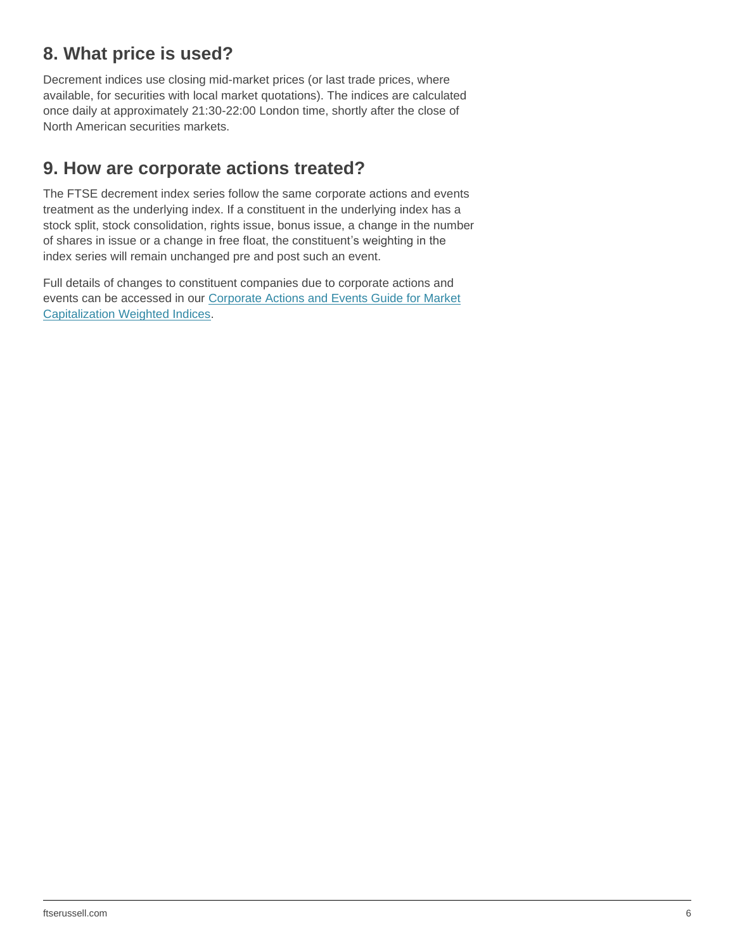### **8. What price is used?**

Decrement indices use closing mid-market prices (or last trade prices, where available, for securities with local market quotations). The indices are calculated once daily at approximately 21:30-22:00 London time, shortly after the close of North American securities markets.

### **9. How are corporate actions treated?**

The FTSE decrement index series follow the same corporate actions and events treatment as the underlying index. If a constituent in the underlying index has a stock split, stock consolidation, rights issue, bonus issue, a change in the number of shares in issue or a change in free float, the constituent's weighting in the index series will remain unchanged pre and post such an event.

Full details of changes to constituent companies due to corporate actions and events can be accessed in our [Corporate Actions and Events Guide for Market](https://research.ftserussell.com/products/downloads/Corporate_Actions_and_Events_Guide.pdf)  [Capitalization](https://research.ftserussell.com/products/downloads/Corporate_Actions_and_Events_Guide.pdf) Weighted Indices.